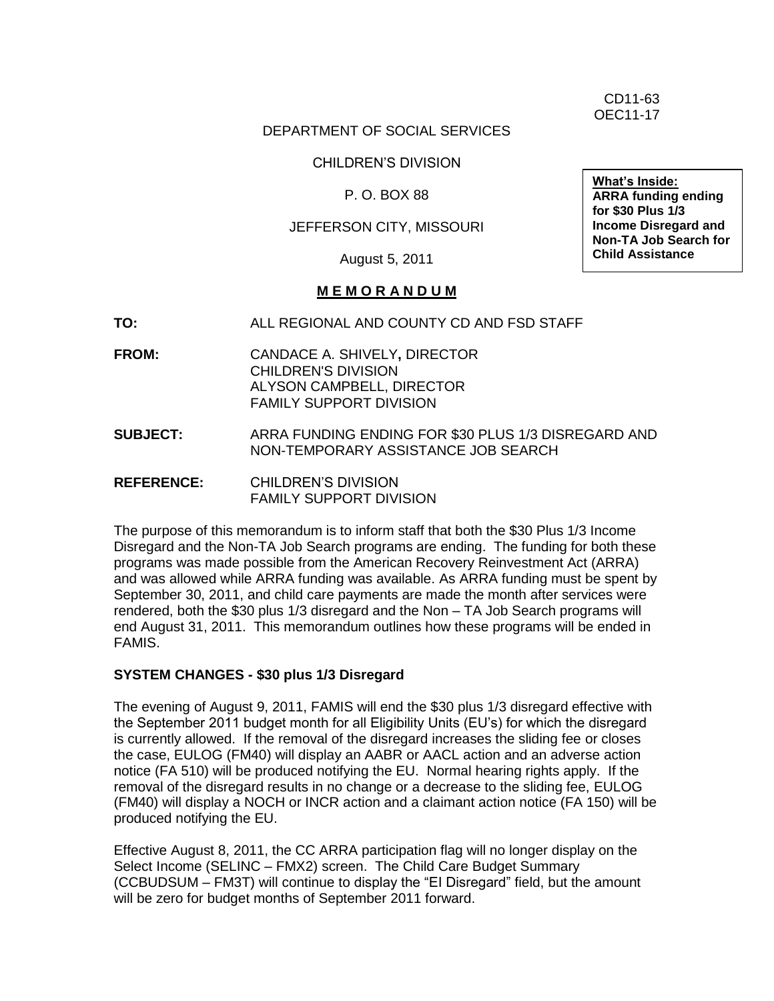CD11-63 OEC11-17

## DEPARTMENT OF SOCIAL SERVICES

CHILDREN'S DIVISION

P. O. BOX 88

### JEFFERSON CITY, MISSOURI

August 5, 2011

#### **M E M O R A N D U M**

- **TO:** ALL REGIONAL AND COUNTY CD AND FSD STAFF
- **FROM:** CANDACE A. SHIVELY**,** DIRECTOR CHILDREN'S DIVISION ALYSON CAMPBELL, DIRECTOR FAMILY SUPPORT DIVISION
- **SUBJECT:** ARRA FUNDING ENDING FOR \$30 PLUS 1/3 DISREGARD AND NON-TEMPORARY ASSISTANCE JOB SEARCH
- **REFERENCE:** CHILDREN'S DIVISION FAMILY SUPPORT DIVISION

The purpose of this memorandum is to inform staff that both the \$30 Plus 1/3 Income Disregard and the Non-TA Job Search programs are ending. The funding for both these programs was made possible from the American Recovery Reinvestment Act (ARRA) and was allowed while ARRA funding was available. As ARRA funding must be spent by September 30, 2011, and child care payments are made the month after services were rendered, both the \$30 plus 1/3 disregard and the Non – TA Job Search programs will end August 31, 2011. This memorandum outlines how these programs will be ended in FAMIS.

#### **SYSTEM CHANGES - \$30 plus 1/3 Disregard**

The evening of August 9, 2011, FAMIS will end the \$30 plus 1/3 disregard effective with the September 2011 budget month for all Eligibility Units (EU's) for which the disregard is currently allowed. If the removal of the disregard increases the sliding fee or closes the case, EULOG (FM40) will display an AABR or AACL action and an adverse action notice (FA 510) will be produced notifying the EU. Normal hearing rights apply. If the removal of the disregard results in no change or a decrease to the sliding fee, EULOG (FM40) will display a NOCH or INCR action and a claimant action notice (FA 150) will be produced notifying the EU.

Effective August 8, 2011, the CC ARRA participation flag will no longer display on the Select Income (SELINC – FMX2) screen. The Child Care Budget Summary (CCBUDSUM – FM3T) will continue to display the "EI Disregard" field, but the amount will be zero for budget months of September 2011 forward.

**What's Inside: ARRA funding ending for \$30 Plus 1/3 Income Disregard and Non-TA Job Search for Child Assistance**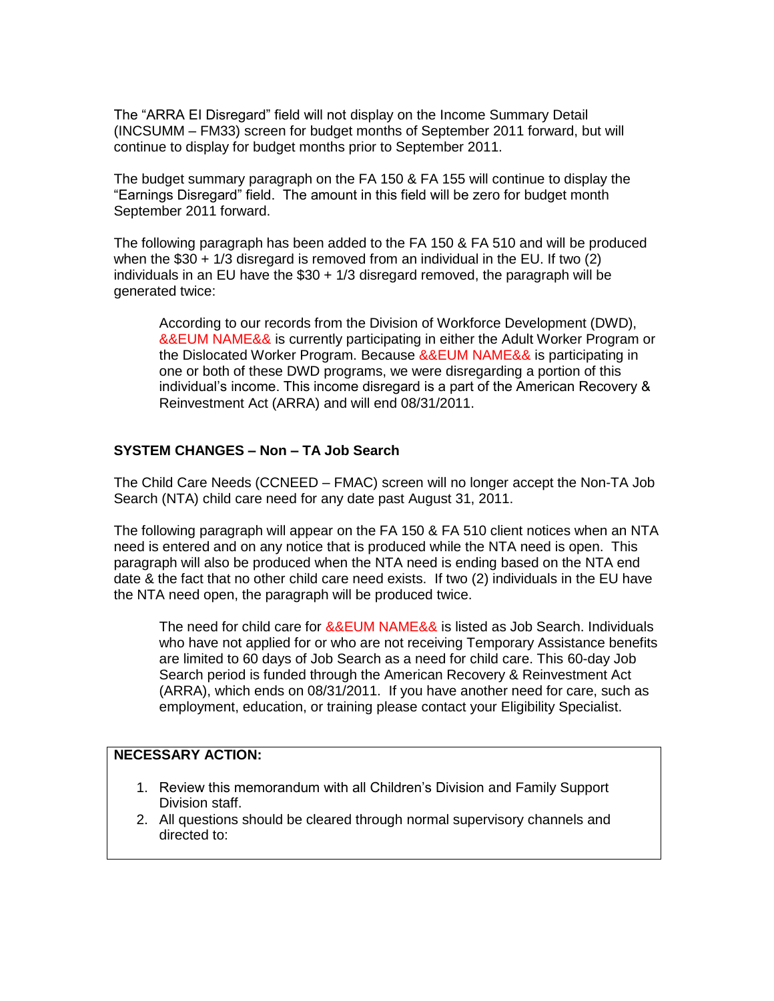The "ARRA EI Disregard" field will not display on the Income Summary Detail (INCSUMM – FM33) screen for budget months of September 2011 forward, but will continue to display for budget months prior to September 2011.

The budget summary paragraph on the FA 150 & FA 155 will continue to display the "Earnings Disregard" field. The amount in this field will be zero for budget month September 2011 forward.

The following paragraph has been added to the FA 150 & FA 510 and will be produced when the \$30 + 1/3 disregard is removed from an individual in the EU. If two (2) individuals in an EU have the \$30 + 1/3 disregard removed, the paragraph will be generated twice:

According to our records from the Division of Workforce Development (DWD), &&EUM NAME&& is currently participating in either the Adult Worker Program or the Dislocated Worker Program. Because &&EUM NAME&& is participating in one or both of these DWD programs, we were disregarding a portion of this individual's income. This income disregard is a part of the American Recovery & Reinvestment Act (ARRA) and will end 08/31/2011.

## **SYSTEM CHANGES – Non – TA Job Search**

The Child Care Needs (CCNEED – FMAC) screen will no longer accept the Non-TA Job Search (NTA) child care need for any date past August 31, 2011.

The following paragraph will appear on the FA 150 & FA 510 client notices when an NTA need is entered and on any notice that is produced while the NTA need is open. This paragraph will also be produced when the NTA need is ending based on the NTA end date & the fact that no other child care need exists. If two (2) individuals in the EU have the NTA need open, the paragraph will be produced twice.

The need for child care for &&EUM NAME&& is listed as Job Search. Individuals who have not applied for or who are not receiving Temporary Assistance benefits are limited to 60 days of Job Search as a need for child care. This 60-day Job Search period is funded through the American Recovery & Reinvestment Act (ARRA), which ends on 08/31/2011. If you have another need for care, such as employment, education, or training please contact your Eligibility Specialist.

## **NECESSARY ACTION:**

- 1. Review this memorandum with all Children's Division and Family Support Division staff.
- 2. All questions should be cleared through normal supervisory channels and directed to: